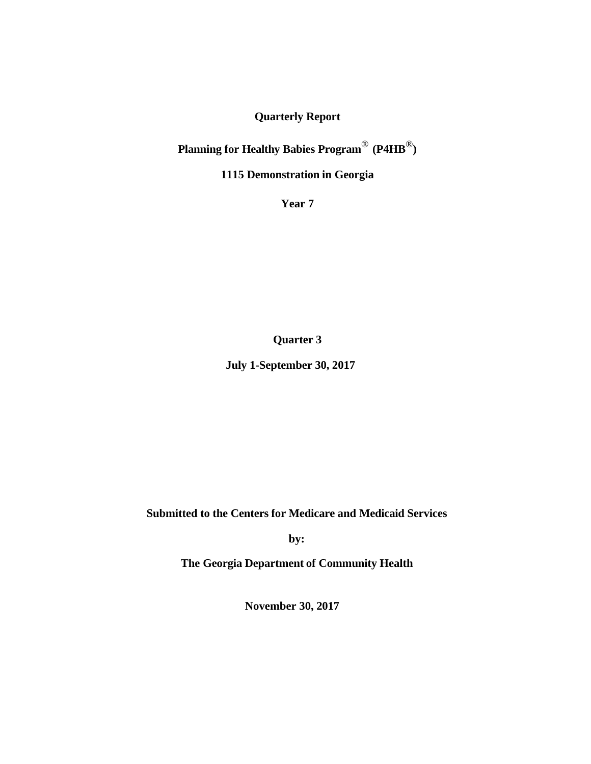# **Quarterly Report**

**Planning for Healthy Babies Program**® **(P4HB**®**)**

**1115 Demonstration in Georgia**

**Year 7**

**Quarter 3**

**July 1-September 30, 2017**

**Submitted to the Centers for Medicare and Medicaid Services**

**by:**

**The Georgia Department of Community Health**

**November 30, 2017**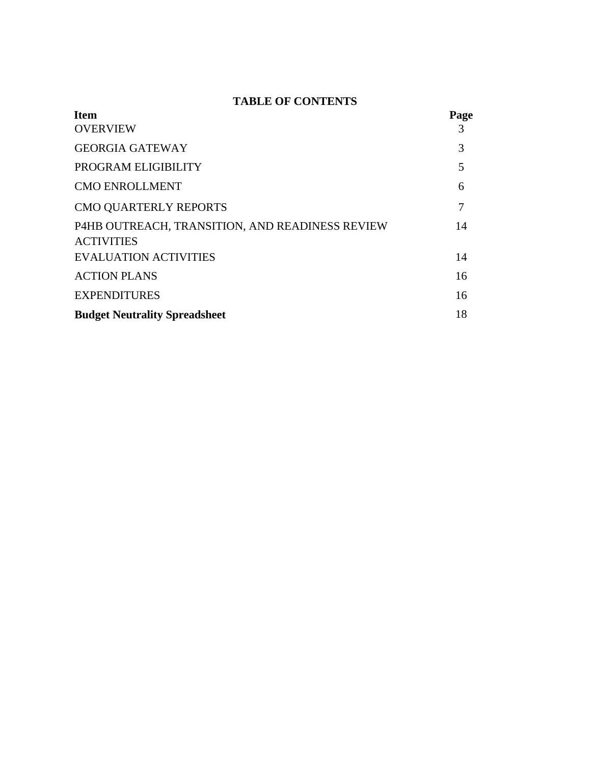# **TABLE OF CONTENTS**

| <b>Item</b>                                                          | Page |
|----------------------------------------------------------------------|------|
| <b>OVERVIEW</b>                                                      | 3    |
| <b>GEORGIA GATEWAY</b>                                               | 3    |
| PROGRAM ELIGIBILITY                                                  | 5    |
| <b>CMO ENROLLMENT</b>                                                | 6    |
| <b>CMO QUARTERLY REPORTS</b>                                         | 7    |
| P4HB OUTREACH, TRANSITION, AND READINESS REVIEW<br><b>ACTIVITIES</b> | 14   |
| <b>EVALUATION ACTIVITIES</b>                                         | 14   |
| <b>ACTION PLANS</b>                                                  | 16   |
| <b>EXPENDITURES</b>                                                  | 16   |
| <b>Budget Neutrality Spreadsheet</b>                                 | 18   |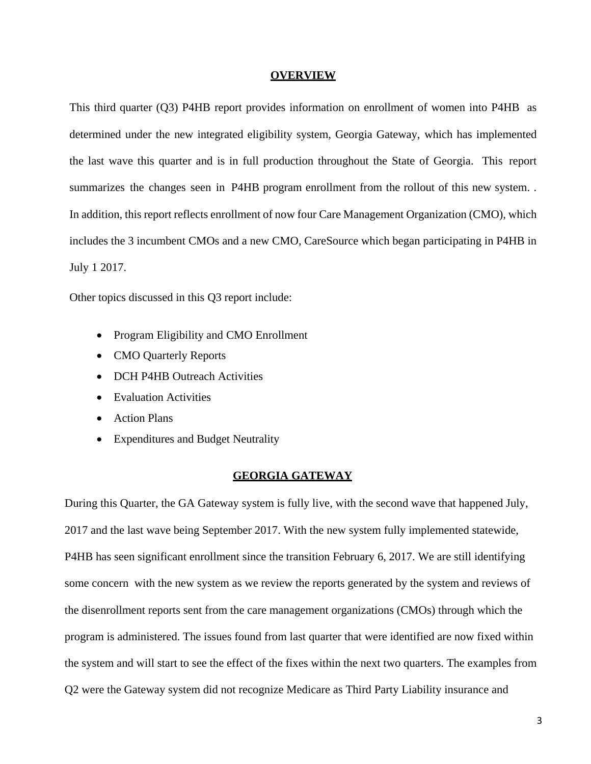#### **OVERVIEW**

This third quarter (Q3) P4HB report provides information on enrollment of women into P4HB as determined under the new integrated eligibility system, Georgia Gateway, which has implemented the last wave this quarter and is in full production throughout the State of Georgia. This report summarizes the changes seen in P4HB program enrollment from the rollout of this new system. In addition, this report reflects enrollment of now four Care Management Organization (CMO), which includes the 3 incumbent CMOs and a new CMO, CareSource which began participating in P4HB in July 1 2017.

Other topics discussed in this Q3 report include:

- Program Eligibility and CMO Enrollment
- CMO Quarterly Reports
- DCH P4HB Outreach Activities
- Evaluation Activities
- Action Plans
- Expenditures and Budget Neutrality

#### **GEORGIA GATEWAY**

During this Quarter, the GA Gateway system is fully live, with the second wave that happened July, 2017 and the last wave being September 2017. With the new system fully implemented statewide, P4HB has seen significant enrollment since the transition February 6, 2017. We are still identifying some concern with the new system as we review the reports generated by the system and reviews of the disenrollment reports sent from the care management organizations (CMOs) through which the program is administered. The issues found from last quarter that were identified are now fixed within the system and will start to see the effect of the fixes within the next two quarters. The examples from Q2 were the Gateway system did not recognize Medicare as Third Party Liability insurance and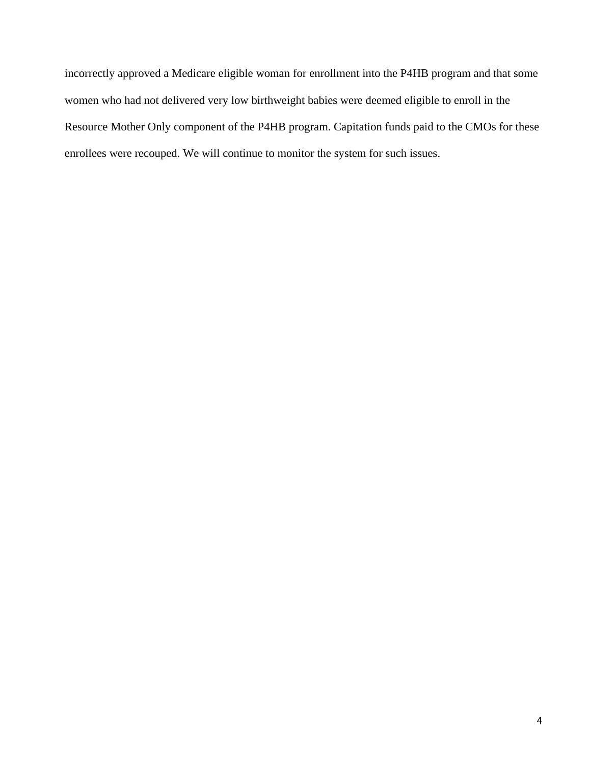incorrectly approved a Medicare eligible woman for enrollment into the P4HB program and that some women who had not delivered very low birthweight babies were deemed eligible to enroll in the Resource Mother Only component of the P4HB program. Capitation funds paid to the CMOs for these enrollees were recouped. We will continue to monitor the system for such issues.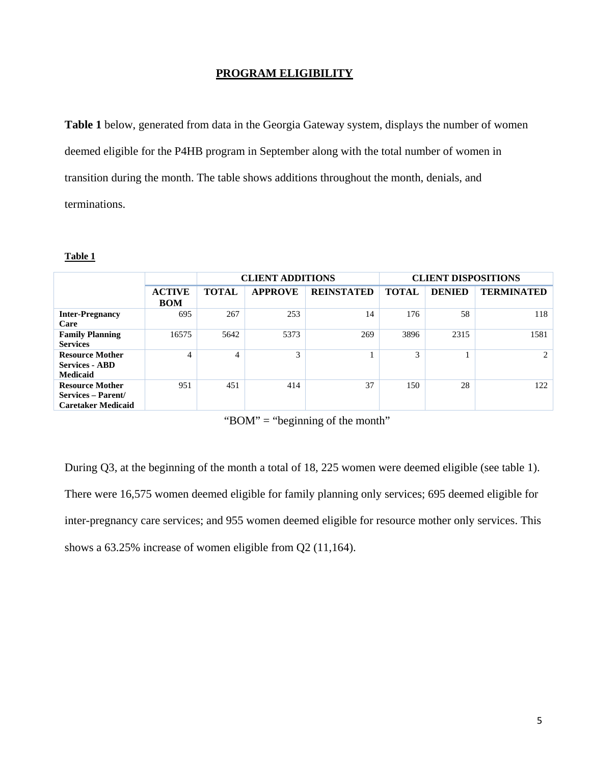## **PROGRAM ELIGIBILITY**

**Table 1** below, generated from data in the Georgia Gateway system, displays the number of women deemed eligible for the P4HB program in September along with the total number of women in transition during the month. The table shows additions throughout the month, denials, and terminations.

#### **Table 1**

|                                                                           |                             |              | <b>CLIENT ADDITIONS</b> |                   | <b>CLIENT DISPOSITIONS</b> |               |                   |  |  |  |  |
|---------------------------------------------------------------------------|-----------------------------|--------------|-------------------------|-------------------|----------------------------|---------------|-------------------|--|--|--|--|
|                                                                           | <b>ACTIVE</b><br><b>BOM</b> | <b>TOTAL</b> | <b>APPROVE</b>          | <b>REINSTATED</b> | <b>TOTAL</b>               | <b>DENIED</b> | <b>TERMINATED</b> |  |  |  |  |
| <b>Inter-Pregnancy</b><br>Care                                            | 695                         | 267          | 253                     | 14                | 176                        | 58            | 118               |  |  |  |  |
| <b>Family Planning</b><br><b>Services</b>                                 | 16575                       | 5642         | 5373                    | 269               | 3896                       | 2315          | 1581              |  |  |  |  |
| <b>Resource Mother</b><br><b>Services - ABD</b><br><b>Medicaid</b>        | $\overline{4}$              | 4            | 3                       |                   | 3                          |               | 2                 |  |  |  |  |
| <b>Resource Mother</b><br>Services – Parent/<br><b>Caretaker Medicaid</b> | 951                         | 451          | 414                     | 37                | 150                        | 28            | 122               |  |  |  |  |

" $BOM" = "beginning of the month"$ 

During Q3, at the beginning of the month a total of 18, 225 women were deemed eligible (see table 1). There were 16,575 women deemed eligible for family planning only services; 695 deemed eligible for inter-pregnancy care services; and 955 women deemed eligible for resource mother only services. This shows a 63.25% increase of women eligible from Q2 (11,164).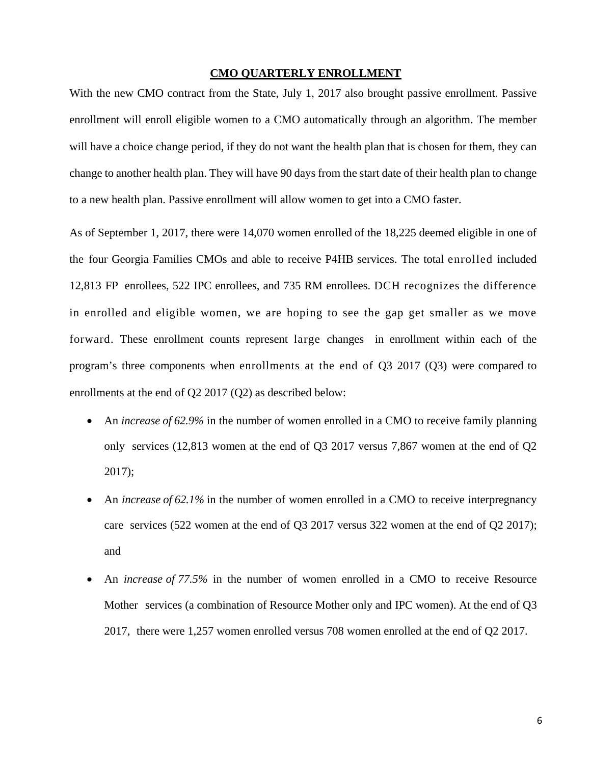# **CMO QUARTERLY ENROLLMENT**

With the new CMO contract from the State, July 1, 2017 also brought passive enrollment. Passive enrollment will enroll eligible women to a CMO automatically through an algorithm. The member will have a choice change period, if they do not want the health plan that is chosen for them, they can change to another health plan. They will have 90 days from the start date of their health plan to change to a new health plan. Passive enrollment will allow women to get into a CMO faster.

As of September 1, 2017, there were 14,070 women enrolled of the 18,225 deemed eligible in one of the four Georgia Families CMOs and able to receive P4HB services. The total enrolled included 12,813 FP enrollees, 522 IPC enrollees, and 735 RM enrollees. DCH recognizes the difference in enrolled and eligible women, we are hoping to see the gap get smaller as we move forward. These enrollment counts represent large changes in enrollment within each of the program's three components when enrollments at the end of Q3 2017 (Q3) were compared to enrollments at the end of Q2 2017 (Q2) as described below:

- An *increase of 62.9%* in the number of women enrolled in a CMO to receive family planning only services (12,813 women at the end of Q3 2017 versus 7,867 women at the end of Q2 2017);
- An *increase of 62.1%* in the number of women enrolled in a CMO to receive interpregnancy care services (522 women at the end of Q3 2017 versus 322 women at the end of Q2 2017); and
- An *increase of 77.5%* in the number of women enrolled in a CMO to receive Resource Mother services (a combination of Resource Mother only and IPC women). At the end of Q3 2017, there were 1,257 women enrolled versus 708 women enrolled at the end of Q2 2017.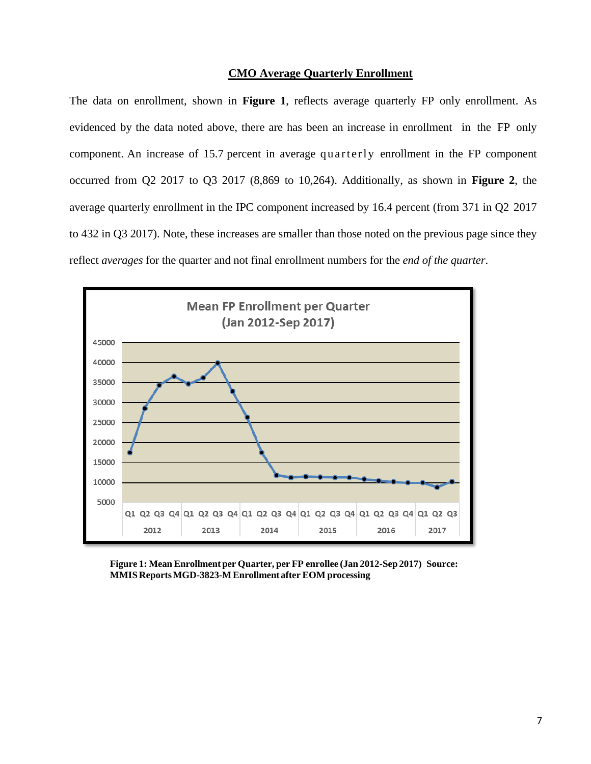#### **CMO Average Quarterly Enrollment**

The data on enrollment, shown in **Figure 1**, reflects average quarterly FP only enrollment. As evidenced by the data noted above, there are has been an increase in enrollment in the FP only component. An increase of 15.7 percent in average quarterly enrollment in the FP component occurred from Q2 2017 to Q3 2017 (8,869 to 10,264). Additionally, as shown in **Figure 2**, the average quarterly enrollment in the IPC component increased by 16.4 percent (from 371 in Q2 2017 to 432 in Q3 2017). Note, these increases are smaller than those noted on the previous page since they reflect *averages* for the quarter and not final enrollment numbers for the *end of the quarter*.



**Figure 1: Mean Enrollment per Quarter, per FP enrollee (Jan 2012-Sep 2017) Source: MMIS ReportsMGD-3823-M Enrollmentafter EOM processing**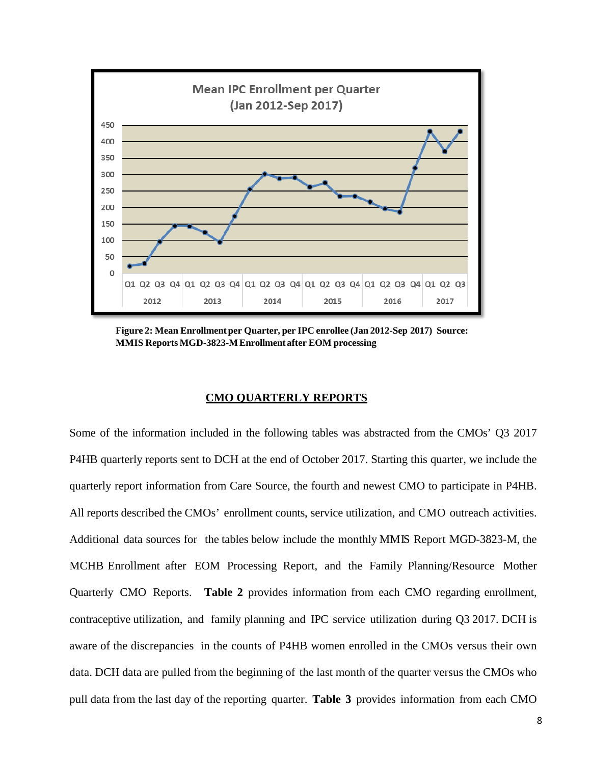

**Figure 2: Mean Enrollment per Quarter, per IPC enrollee (Jan 2012-Sep 2017) Source: MMIS Reports MGD-3823-MEnrollment after EOM processing**

### **CMO QUARTERLY REPORTS**

Some of the information included in the following tables was abstracted from the CMOs' Q3 2017 P4HB quarterly reports sent to DCH at the end of October 2017. Starting this quarter, we include the quarterly report information from Care Source, the fourth and newest CMO to participate in P4HB. All reports described the CMOs' enrollment counts, service utilization, and CMO outreach activities. Additional data sources for the tables below include the monthly MMIS Report MGD-3823-M, the MCHB Enrollment after EOM Processing Report, and the Family Planning/Resource Mother Quarterly CMO Reports. **Table 2** provides information from each CMO regarding enrollment, contraceptive utilization, and family planning and IPC service utilization during Q3 2017. DCH is aware of the discrepancies in the counts of P4HB women enrolled in the CMOs versus their own data. DCH data are pulled from the beginning of the last month of the quarter versus the CMOs who pull data from the last day of the reporting quarter. **Table 3** provides information from each CMO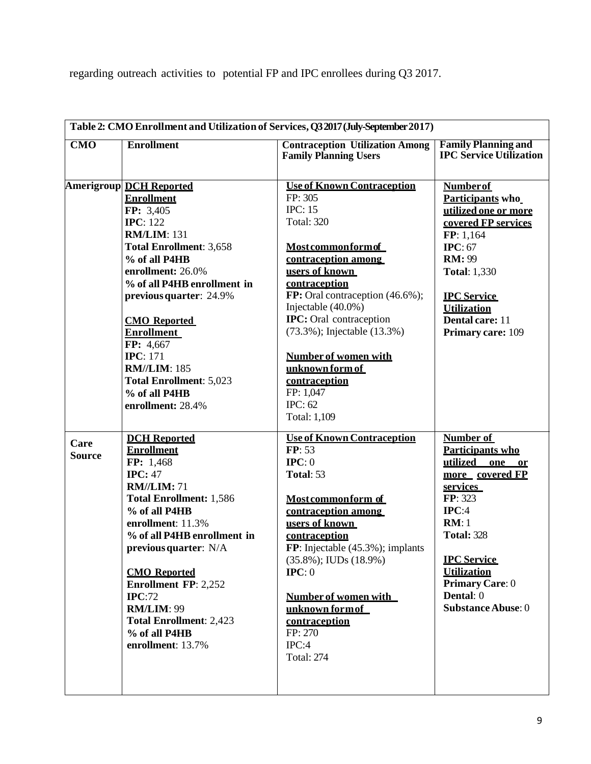regarding outreach activities to potential FP and IPC enrollees during Q3 2017.

|                       |                                                                                                                                                                                                                                                                                                                                                                                                                          | Table 2: CMO Enrollment and Utilization of Services, Q3 2017 (July-September 2017)                                                                                                                                                                                                                                                                                                                                      |                                                                                                                                                                                                                                                  |
|-----------------------|--------------------------------------------------------------------------------------------------------------------------------------------------------------------------------------------------------------------------------------------------------------------------------------------------------------------------------------------------------------------------------------------------------------------------|-------------------------------------------------------------------------------------------------------------------------------------------------------------------------------------------------------------------------------------------------------------------------------------------------------------------------------------------------------------------------------------------------------------------------|--------------------------------------------------------------------------------------------------------------------------------------------------------------------------------------------------------------------------------------------------|
| CMO                   | <b>Enrollment</b>                                                                                                                                                                                                                                                                                                                                                                                                        | <b>Contraception Utilization Among</b><br><b>Family Planning Users</b>                                                                                                                                                                                                                                                                                                                                                  | <b>Family Planning and</b><br><b>IPC Service Utilization</b>                                                                                                                                                                                     |
|                       | <b>Amerigroup DCH Reported</b><br><b>Enrollment</b><br>FP: 3,405<br><b>IPC</b> : 122<br><b>RM/LIM: 131</b><br><b>Total Enrollment: 3,658</b><br>% of all P4HB<br>enrollment: 26.0%<br>% of all P4HB enrollment in<br>previous quarter: 24.9%<br><b>CMO</b> Reported<br><b>Enrollment</b><br>FP: 4,667<br><b>IPC</b> : 171<br><b>RM//LIM: 185</b><br><b>Total Enrollment: 5,023</b><br>% of all P4HB<br>enrollment: 28.4% | <b>Use of Known Contraception</b><br>FP: 305<br><b>IPC: 15</b><br><b>Total: 320</b><br><b>Most common form of</b><br>contraception among<br>users of known<br>contraception<br>FP: Oral contraception (46.6%);<br>Injectable (40.0%)<br><b>IPC:</b> Oral contraception<br>(73.3%); Injectable (13.3%)<br><b>Number of women with</b><br>unknown form of<br>contraception<br>FP: 1,047<br><b>IPC: 62</b><br>Total: 1,109 | <b>Number of</b><br>Participants who<br>utilized one or more<br>covered FP services<br>FP: 1,164<br>IPC: $67$<br><b>RM</b> : 99<br><b>Total: 1,330</b><br><b>IPC</b> Service<br><b>Utilization</b><br>Dental care: 11<br>Primary care: 109       |
| Care<br><b>Source</b> | <b>DCH</b> Reported<br><b>Enrollment</b><br>FP: 1,468<br><b>IPC: 47</b><br><b>RM//LIM: 71</b><br><b>Total Enrollment: 1,586</b><br>% of all P4HB<br>enrollment: 11.3%<br>% of all P4HB enrollment in<br>previous quarter: N/A<br><b>CMO</b> Reported<br><b>Enrollment FP: 2,252</b><br>IPC:72<br><b>RM/LIM: 99</b><br><b>Total Enrollment: 2,423</b><br>% of all P4HB<br>enrollment: 13.7%                               | <b>Use of Known Contraception</b><br>FP: 53<br>$\text{IPC}: 0$<br>Total: 53<br>Most commonform of<br>contraception among<br>users of known<br>contraception<br>FP: Injectable $(45.3\%)$ ; implants<br>$(35.8\%)$ ; IUDs $(18.9\%)$<br>$\text{IPC}: 0$<br>Number of women with<br>unknown form of<br>contraception<br>FP: 270<br>IPC:4<br><b>Total: 274</b>                                                             | Number of<br>Participants who<br>utilized one or<br>more covered FP<br>services<br>FP: 323<br>IPC:4<br>RM:1<br><b>Total: 328</b><br><b>IPC</b> Service<br><b>Utilization</b><br><b>Primary Care: 0</b><br>Dental: 0<br><b>Substance Abuse: 0</b> |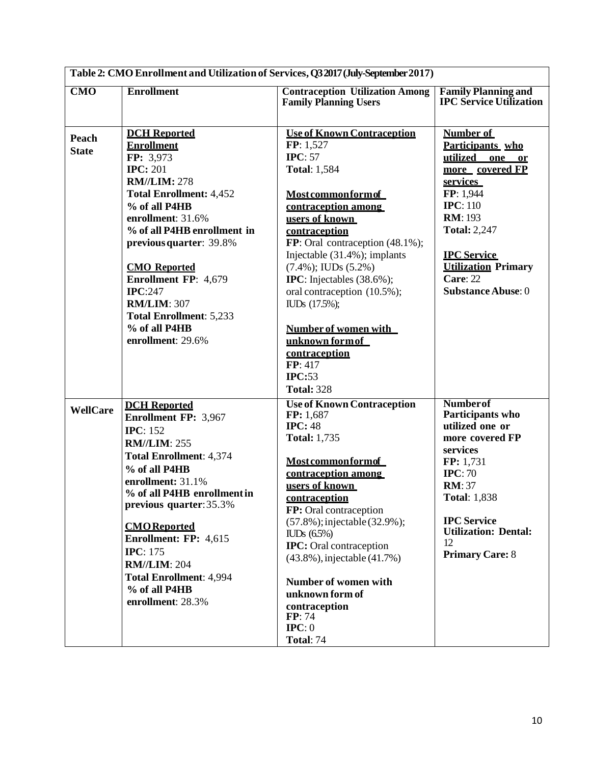| Table 2: CMO Enrollment and Utilization of Services, Q3 2017 (July-September 2017) |                                                                                                                                                                                                                                                                                                                                                                                                         |                                                                                                                                                                                                                                                                                                                                                                                                                                                                          |                                                                                                                                                                                                                                                            |  |  |  |  |
|------------------------------------------------------------------------------------|---------------------------------------------------------------------------------------------------------------------------------------------------------------------------------------------------------------------------------------------------------------------------------------------------------------------------------------------------------------------------------------------------------|--------------------------------------------------------------------------------------------------------------------------------------------------------------------------------------------------------------------------------------------------------------------------------------------------------------------------------------------------------------------------------------------------------------------------------------------------------------------------|------------------------------------------------------------------------------------------------------------------------------------------------------------------------------------------------------------------------------------------------------------|--|--|--|--|
| CMO                                                                                | <b>Enrollment</b>                                                                                                                                                                                                                                                                                                                                                                                       | <b>Contraception Utilization Among</b><br><b>Family Planning Users</b>                                                                                                                                                                                                                                                                                                                                                                                                   | <b>Family Planning and</b><br><b>IPC Service Utilization</b>                                                                                                                                                                                               |  |  |  |  |
| Peach<br><b>State</b>                                                              | <b>DCH</b> Reported<br><b>Enrollment</b><br>FP: 3,973<br><b>IPC: 201</b><br><b>RM//LIM: 278</b><br><b>Total Enrollment: 4,452</b><br>% of all P4HB<br>enrollment: 31.6%<br>% of all P4HB enrollment in<br>previous quarter: 39.8%<br><b>CMO</b> Reported<br><b>Enrollment FP: 4,679</b><br><b>IPC:247</b><br><b>RM/LIM: 307</b><br><b>Total Enrollment: 5,233</b><br>% of all P4HB<br>enrollment: 29.6% | <b>Use of Known Contraception</b><br>FP: 1,527<br>IPC: $57$<br><b>Total: 1,584</b><br><b>Most common form of</b><br>contraception among<br>users of known<br>contraception<br>FP: Oral contraception (48.1%);<br>Injectable (31.4%); implants<br>$(7.4\%)$ ; IUDs $(5.2\%)$<br><b>IPC</b> : Injectables $(38.6\%)$ ;<br>oral contraception (10.5%);<br>IUD <sub>s</sub> (17.5%);<br>Number of women with<br>unknown form of<br>contraception<br>FP: 417<br><b>IPC:53</b> | Number of<br>Participants who<br>utilized<br>one or<br>more covered FP<br>services<br>FP: 1,944<br><b>IPC</b> : 110<br><b>RM</b> : 193<br><b>Total: 2,247</b><br><b>IPC</b> Service<br><b>Utilization Primary</b><br>Care: 22<br><b>Substance Abuse: 0</b> |  |  |  |  |
| <b>WellCare</b>                                                                    | <b>DCH</b> Reported<br><b>Enrollment FP: 3,967</b><br><b>IPC</b> : 152<br><b>RM//LIM: 255</b><br><b>Total Enrollment: 4,374</b><br>% of all P4HB<br>enrollment: 31.1%<br>% of all P4HB enrollment in<br>previous quarter: 35.3%<br><b>CMO</b> Reported<br>Enrollment: FP: 4,615<br><b>IPC</b> : 175<br><b>RM//LIM: 204</b><br><b>Total Enrollment: 4,994</b><br>% of all P4HB<br>enrollment: 28.3%      | <b>Total: 328</b><br><b>Use of Known Contraception</b><br>FP: 1,687<br><b>IPC: 48</b><br><b>Total: 1,735</b><br><b>Most common form of</b><br>contraception among<br>users of known<br>contraception<br>FP: Oral contraception<br>(57.8%); injectable (32.9%);<br>$\text{ILDs}(6.5\%)$<br><b>IPC:</b> Oral contraception<br>(43.8%), injectable (41.7%)<br>Number of women with<br>unknown form of<br>contraception<br>FP: 74<br>$\text{IPC}: 0$<br><b>Total: 74</b>     | <b>Number</b> of<br>Participants who<br>utilized one or<br>more covered FP<br>services<br>FP: 1,731<br>IPC: 70<br><b>RM</b> : 37<br><b>Total: 1,838</b><br><b>IPC</b> Service<br><b>Utilization: Dental:</b><br>12<br><b>Primary Care: 8</b>               |  |  |  |  |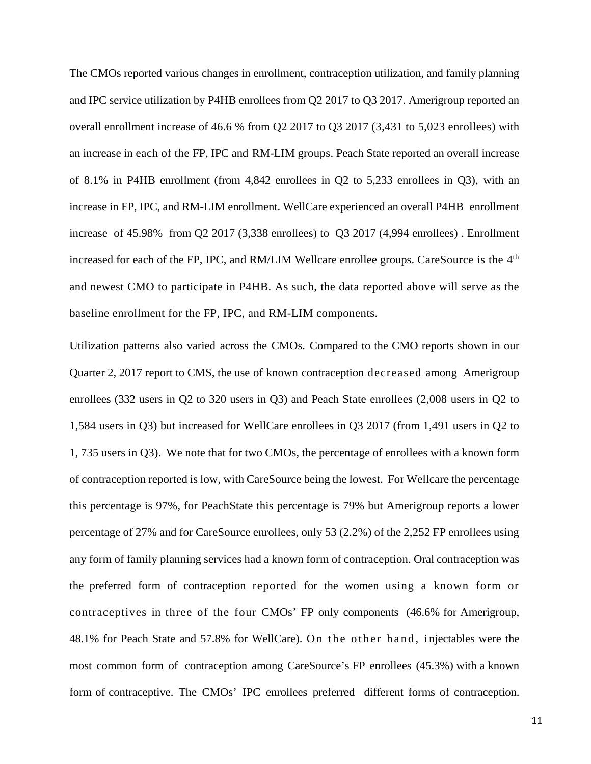The CMOs reported various changes in enrollment, contraception utilization, and family planning and IPC service utilization by P4HB enrollees from Q2 2017 to Q3 2017. Amerigroup reported an overall enrollment increase of 46.6 % from Q2 2017 to Q3 2017 (3,431 to 5,023 enrollees) with an increase in each of the FP, IPC and RM-LIM groups. Peach State reported an overall increase of 8.1% in P4HB enrollment (from 4,842 enrollees in Q2 to 5,233 enrollees in Q3), with an increase in FP, IPC, and RM-LIM enrollment. WellCare experienced an overall P4HB enrollment increase of 45.98% from Q2 2017 (3,338 enrollees) to Q3 2017 (4,994 enrollees) . Enrollment increased for each of the FP, IPC, and RM/LIM Wellcare enrollee groups. CareSource is the 4<sup>th</sup> and newest CMO to participate in P4HB. As such, the data reported above will serve as the baseline enrollment for the FP, IPC, and RM-LIM components.

Utilization patterns also varied across the CMOs. Compared to the CMO reports shown in our Quarter 2, 2017 report to CMS, the use of known contraception decreased among Amerigroup enrollees (332 users in Q2 to 320 users in Q3) and Peach State enrollees (2,008 users in Q2 to 1,584 users in Q3) but increased for WellCare enrollees in Q3 2017 (from 1,491 users in Q2 to 1, 735 users in Q3). We note that for two CMOs, the percentage of enrollees with a known form of contraception reported is low, with CareSource being the lowest. For Wellcare the percentage this percentage is 97%, for PeachState this percentage is 79% but Amerigroup reports a lower percentage of 27% and for CareSource enrollees, only 53 (2.2%) of the 2,252 FP enrollees using any form of family planning services had a known form of contraception. Oral contraception was the preferred form of contraception reported for the women using a known form or contraceptives in three of the four CMOs' FP only components (46.6% for Amerigroup, 48.1% for Peach State and 57.8% for WellCare). On the other hand, i njectables were the most common form of contraception among CareSource's FP enrollees (45.3%) with a known form of contraceptive. The CMOs' IPC enrollees preferred different forms of contraception.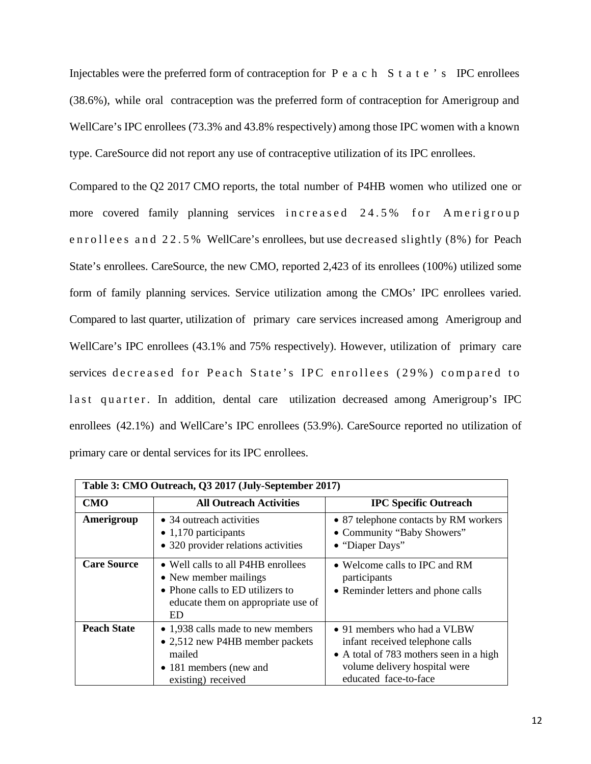Injectables were the preferred form of contraception for Peach State's IPC enrollees (38.6%), while oral contraception was the preferred form of contraception for Amerigroup and WellCare's IPC enrollees (73.3% and 43.8% respectively) among those IPC women with a known type. CareSource did not report any use of contraceptive utilization of its IPC enrollees.

Compared to the Q2 2017 CMO reports, the total number of P4HB women who utilized one or more covered family planning services increased 24.5% for Amerigroup enrollees and 22.5% WellCare's enrollees, but use decreased slightly (8%) for Peach State's enrollees. CareSource, the new CMO, reported 2,423 of its enrollees (100%) utilized some form of family planning services. Service utilization among the CMOs' IPC enrollees varied. Compared to last quarter, utilization of primary care services increased among Amerigroup and WellCare's IPC enrollees (43.1% and 75% respectively). However, utilization of primary care services decreased for Peach State's IPC enrollees (29%) compared to last quarter. In addition, dental care utilization decreased among Amerigroup's IPC enrollees (42.1%) and WellCare's IPC enrollees (53.9%). CareSource reported no utilization of primary care or dental services for its IPC enrollees.

| Table 3: CMO Outreach, Q3 2017 (July-September 2017) |                                                                                                                                              |                                                                                                                                                                     |  |  |  |  |  |
|------------------------------------------------------|----------------------------------------------------------------------------------------------------------------------------------------------|---------------------------------------------------------------------------------------------------------------------------------------------------------------------|--|--|--|--|--|
| <b>CMO</b>                                           | <b>All Outreach Activities</b>                                                                                                               | <b>IPC Specific Outreach</b>                                                                                                                                        |  |  |  |  |  |
| Amerigroup                                           | • 34 outreach activities<br>$\bullet$ 1,170 participants<br>• 320 provider relations activities                                              | • 87 telephone contacts by RM workers<br>• Community "Baby Showers"<br>• "Diaper Days"                                                                              |  |  |  |  |  |
| <b>Care Source</b>                                   | • Well calls to all P4HB enrollees<br>• New member mailings<br>• Phone calls to ED utilizers to<br>educate them on appropriate use of<br>ED. | • Welcome calls to IPC and RM<br>participants<br>• Reminder letters and phone calls                                                                                 |  |  |  |  |  |
| <b>Peach State</b>                                   | • 1,938 calls made to new members<br>• 2,512 new P4HB member packets<br>mailed<br>• 181 members (new and<br>existing) received               | • 91 members who had a VLBW<br>infant received telephone calls<br>• A total of 783 mothers seen in a high<br>volume delivery hospital were<br>educated face-to-face |  |  |  |  |  |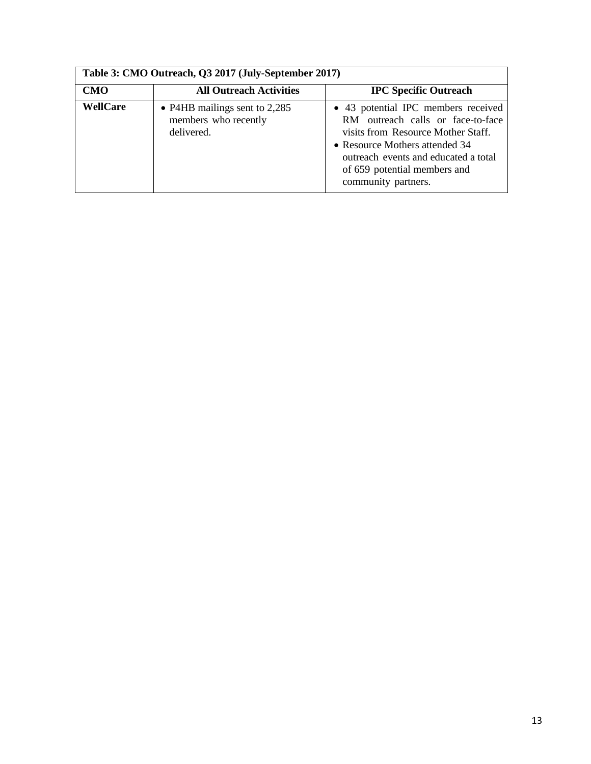| Table 3: CMO Outreach, Q3 2017 (July-September 2017) |                                                                       |                                                                                                                                                                                                                                                 |  |  |  |  |  |  |
|------------------------------------------------------|-----------------------------------------------------------------------|-------------------------------------------------------------------------------------------------------------------------------------------------------------------------------------------------------------------------------------------------|--|--|--|--|--|--|
| <b>CMO</b>                                           | <b>All Outreach Activities</b>                                        | <b>IPC Specific Outreach</b>                                                                                                                                                                                                                    |  |  |  |  |  |  |
| <b>WellCare</b>                                      | • P4HB mailings sent to $2,285$<br>members who recently<br>delivered. | • 43 potential IPC members received<br>RM outreach calls or face-to-face<br>visits from Resource Mother Staff.<br>• Resource Mothers attended 34<br>outreach events and educated a total<br>of 659 potential members and<br>community partners. |  |  |  |  |  |  |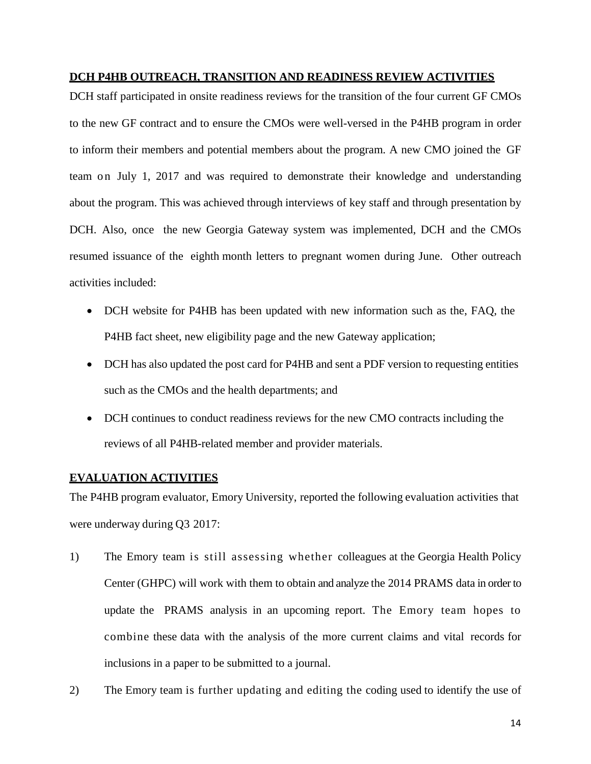# **DCH P4HB OUTREACH, TRANSITION AND READINESS REVIEW ACTIVITIES**

DCH staff participated in onsite readiness reviews for the transition of the four current GF CMOs to the new GF contract and to ensure the CMOs were well-versed in the P4HB program in order to inform their members and potential members about the program. A new CMO joined the GF team on July 1, 2017 and was required to demonstrate their knowledge and understanding about the program. This was achieved through interviews of key staff and through presentation by DCH. Also, once the new Georgia Gateway system was implemented, DCH and the CMOs resumed issuance of the eighth month letters to pregnant women during June. Other outreach activities included:

- DCH website for P4HB has been updated with new information such as the, FAQ, the P4HB fact sheet, new eligibility page and the new Gateway application;
- DCH has also updated the post card for P4HB and sent a PDF version to requesting entities such as the CMOs and the health departments; and
- DCH continues to conduct readiness reviews for the new CMO contracts including the reviews of all P4HB-related member and provider materials.

# **EVALUATION ACTIVITIES**

The P4HB program evaluator, Emory University, reported the following evaluation activities that were underway during Q3 2017:

- 1) The Emory team is still assessing whether colleagues at the Georgia Health Policy Center (GHPC) will work with them to obtain and analyze the 2014 PRAMS data in order to update the PRAMS analysis in an upcoming report. The Emory team hopes to combine these data with the analysis of the more current claims and vital records for inclusions in a paper to be submitted to a journal.
- 2) The Emory team is further updating and editing the coding used to identify the use of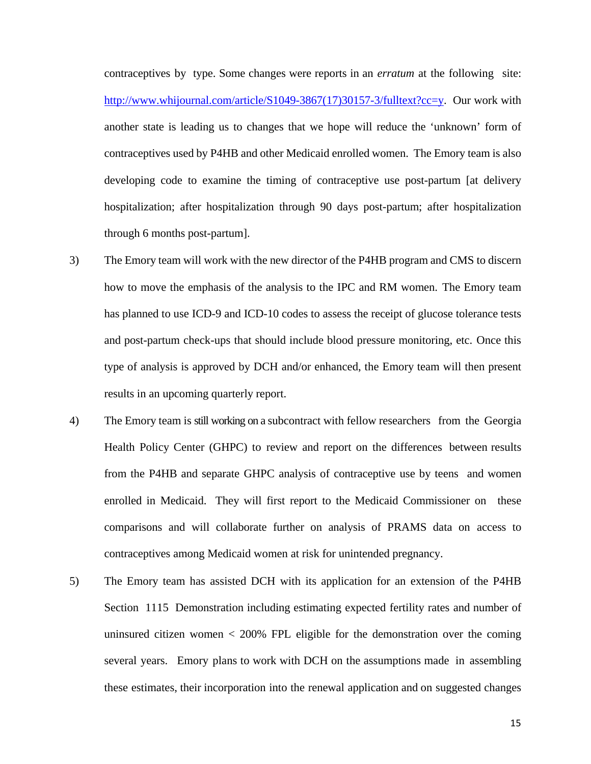contraceptives by type. Some changes were reports in an *erratum* at the following site: [http://www.whijournal.com/article/S1049-3867\(17\)30157-3/fulltext?cc=y.](http://www.whijournal.com/article/S1049-3867(17)30157-3/fulltext?cc=y) Our work with another state is leading us to changes that we hope will reduce the 'unknown' form of contraceptives used by P4HB and other Medicaid enrolled women. The Emory team is also developing code to examine the timing of contraceptive use post-partum [at delivery hospitalization; after hospitalization through 90 days post-partum; after hospitalization through 6 months post-partum].

- 3) The Emory team will work with the new director of the P4HB program and CMS to discern how to move the emphasis of the analysis to the IPC and RM women. The Emory team has planned to use ICD-9 and ICD-10 codes to assess the receipt of glucose tolerance tests and post-partum check-ups that should include blood pressure monitoring, etc. Once this type of analysis is approved by DCH and/or enhanced, the Emory team will then present results in an upcoming quarterly report.
- 4) The Emory team is still working on a subcontract with fellow researchers from the Georgia Health Policy Center (GHPC) to review and report on the differences between results from the P4HB and separate GHPC analysis of contraceptive use by teens and women enrolled in Medicaid. They will first report to the Medicaid Commissioner on these comparisons and will collaborate further on analysis of PRAMS data on access to contraceptives among Medicaid women at risk for unintended pregnancy.
- 5) The Emory team has assisted DCH with its application for an extension of the P4HB Section 1115 Demonstration including estimating expected fertility rates and number of uninsured citizen women  $\lt$  200% FPL eligible for the demonstration over the coming several years. Emory plans to work with DCH on the assumptions made in assembling these estimates, their incorporation into the renewal application and on suggested changes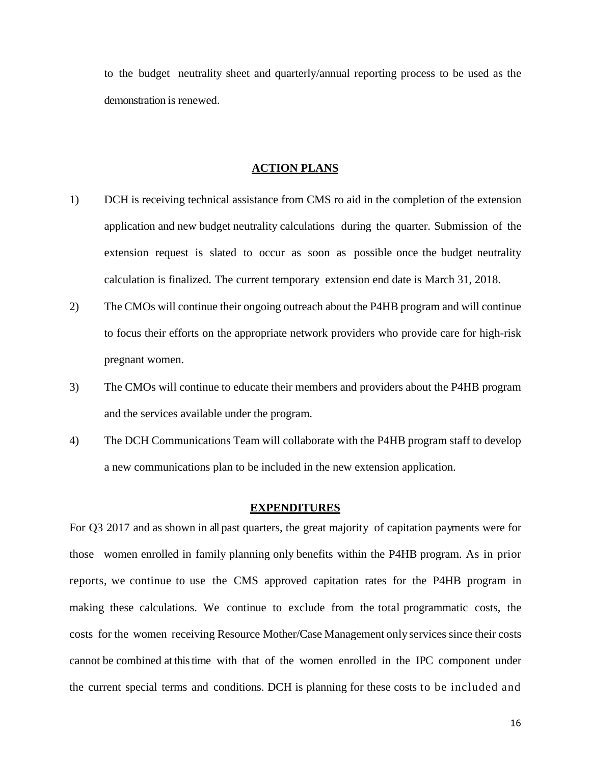to the budget neutrality sheet and quarterly/annual reporting process to be used as the demonstration is renewed.

#### **ACTION PLANS**

- 1) DCH is receiving technical assistance from CMS ro aid in the completion of the extension application and new budget neutrality calculations during the quarter. Submission of the extension request is slated to occur as soon as possible once the budget neutrality calculation is finalized. The current temporary extension end date is March 31, 2018.
- 2) The CMOs will continue their ongoing outreach about the P4HB program and will continue to focus their efforts on the appropriate network providers who provide care for high-risk pregnant women.
- 3) The CMOs will continue to educate their members and providers about the P4HB program and the services available under the program.
- 4) The DCH Communications Team will collaborate with the P4HB program staff to develop a new communications plan to be included in the new extension application.

#### **EXPENDITURES**

For Q3 2017 and as shown in all past quarters, the great majority of capitation payments were for those women enrolled in family planning only benefits within the P4HB program. As in prior reports, we continue to use the CMS approved capitation rates for the P4HB program in making these calculations. We continue to exclude from the total programmatic costs, the costs for the women receiving Resource Mother/Case Management only services since their costs cannot be combined at thistime with that of the women enrolled in the IPC component under the current special terms and conditions. DCH is planning for these costs to be included and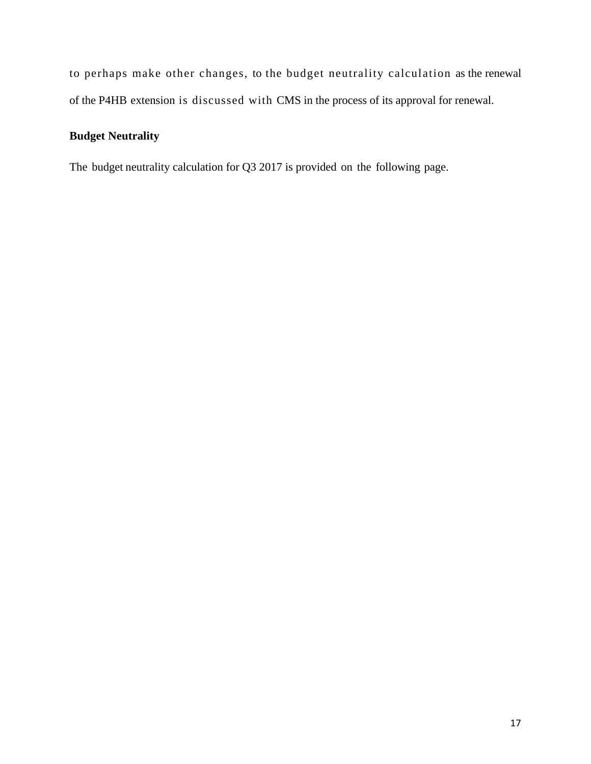to perhaps make other changes, to the budget neutrality calculation as the renewal of the P4HB extension is discussed with CMS in the process of its approval for renewal.

# **Budget Neutrality**

The budget neutrality calculation for Q3 2017 is provided on the following page.